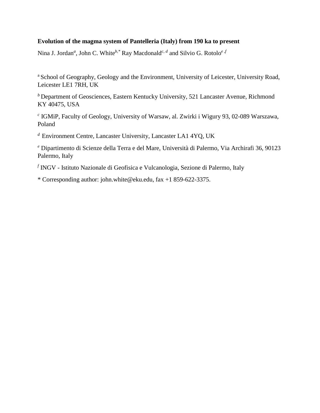## **Evolution of the magma system of Pantelleria (Italy) from 190 ka to present**

Nina J. Jordan*<sup>a</sup>* , John C. White*b,\** Ray Macdonald*c, d* and Silvio G. Rotolo*<sup>e</sup> ,f*

<sup>a</sup> School of Geography, Geology and the Environment, University of Leicester, University Road, Leicester LE1 7RH, UK

*b* Department of Geosciences, Eastern Kentucky University, 521 Lancaster Avenue, Richmond KY 40475, USA

*c* IGMiP, Faculty of Geology, University of Warsaw, al. Zwirki i Wigury 93, 02-089 Warszawa, Poland

*<sup>d</sup>*Environment Centre, Lancaster University, Lancaster LA1 4YQ, UK

*<sup>e</sup>* Dipartimento di Scienze della Terra e del Mare, Università di Palermo, Via Archirafi 36, 90123 Palermo, Italy

*f* INGV - Istituto Nazionale di Geofisica e Vulcanologia, Sezione di Palermo, Italy

\* Corresponding author: john.white@eku.edu, fax +1 859-622-3375.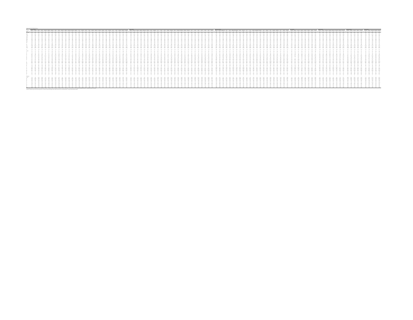| 6.40 6.40                                                                                                                                                                                              |                                                              | 0.0 10.0<br>1974 1975 1987<br>the same<br>me use on our                                                                                                                                                                        |                 |                              |
|--------------------------------------------------------------------------------------------------------------------------------------------------------------------------------------------------------|--------------------------------------------------------------|--------------------------------------------------------------------------------------------------------------------------------------------------------------------------------------------------------------------------------|-----------------|------------------------------|
|                                                                                                                                                                                                        |                                                              |                                                                                                                                                                                                                                |                 |                              |
|                                                                                                                                                                                                        |                                                              |                                                                                                                                                                                                                                |                 |                              |
|                                                                                                                                                                                                        |                                                              |                                                                                                                                                                                                                                |                 |                              |
|                                                                                                                                                                                                        |                                                              |                                                                                                                                                                                                                                |                 | ---                          |
|                                                                                                                                                                                                        |                                                              |                                                                                                                                                                                                                                |                 |                              |
|                                                                                                                                                                                                        |                                                              |                                                                                                                                                                                                                                |                 |                              |
|                                                                                                                                                                                                        |                                                              |                                                                                                                                                                                                                                |                 | ----                         |
|                                                                                                                                                                                                        |                                                              |                                                                                                                                                                                                                                |                 |                              |
|                                                                                                                                                                                                        |                                                              |                                                                                                                                                                                                                                |                 |                              |
|                                                                                                                                                                                                        |                                                              |                                                                                                                                                                                                                                |                 | <b>AND AND AND AD</b>        |
| me me me                                                                                                                                                                                               |                                                              |                                                                                                                                                                                                                                |                 |                              |
| <b>Service</b>                                                                                                                                                                                         |                                                              |                                                                                                                                                                                                                                |                 |                              |
|                                                                                                                                                                                                        | the same                                                     | that sales was                                                                                                                                                                                                                 |                 |                              |
|                                                                                                                                                                                                        |                                                              |                                                                                                                                                                                                                                |                 |                              |
|                                                                                                                                                                                                        |                                                              |                                                                                                                                                                                                                                |                 |                              |
|                                                                                                                                                                                                        |                                                              |                                                                                                                                                                                                                                |                 |                              |
| .                                                                                                                                                                                                      |                                                              |                                                                                                                                                                                                                                |                 | .                            |
| .                                                                                                                                                                                                      |                                                              |                                                                                                                                                                                                                                |                 | .                            |
|                                                                                                                                                                                                        |                                                              |                                                                                                                                                                                                                                |                 |                              |
|                                                                                                                                                                                                        |                                                              |                                                                                                                                                                                                                                | <b>SALE AND</b> |                              |
|                                                                                                                                                                                                        |                                                              |                                                                                                                                                                                                                                |                 | and the real and             |
|                                                                                                                                                                                                        |                                                              |                                                                                                                                                                                                                                |                 |                              |
|                                                                                                                                                                                                        |                                                              |                                                                                                                                                                                                                                | .               | .                            |
|                                                                                                                                                                                                        |                                                              |                                                                                                                                                                                                                                |                 | and that the str             |
|                                                                                                                                                                                                        |                                                              |                                                                                                                                                                                                                                |                 | .                            |
| $m = 100$                                                                                                                                                                                              |                                                              |                                                                                                                                                                                                                                |                 | -------------                |
| man man sma                                                                                                                                                                                            |                                                              |                                                                                                                                                                                                                                |                 |                              |
|                                                                                                                                                                                                        | also your year year your year year your your your your year. | and test                                                                                                                                                                                                                       |                 |                              |
|                                                                                                                                                                                                        |                                                              | .                                                                                                                                                                                                                              |                 | <b>100 100 100 100</b>       |
|                                                                                                                                                                                                        |                                                              |                                                                                                                                                                                                                                |                 | .                            |
|                                                                                                                                                                                                        |                                                              |                                                                                                                                                                                                                                |                 |                              |
|                                                                                                                                                                                                        |                                                              |                                                                                                                                                                                                                                |                 | .                            |
|                                                                                                                                                                                                        |                                                              |                                                                                                                                                                                                                                |                 |                              |
|                                                                                                                                                                                                        |                                                              |                                                                                                                                                                                                                                |                 | sea contracto and            |
| the two the<br>------------                                                                                                                                                                            |                                                              |                                                                                                                                                                                                                                |                 | <b>ARA 2005 - 2004 - 200</b> |
| The the the cost one are the the cost the three are<br>$1954 \qquad 1954 \qquad 1957 \qquad 1957 \qquad 1956 \qquad 1956 \qquad .$                                                                     |                                                              |                                                                                                                                                                                                                                |                 | <b>MAN 1980 1990 1990</b>    |
|                                                                                                                                                                                                        |                                                              |                                                                                                                                                                                                                                |                 | .                            |
|                                                                                                                                                                                                        |                                                              |                                                                                                                                                                                                                                |                 | .                            |
|                                                                                                                                                                                                        |                                                              |                                                                                                                                                                                                                                |                 |                              |
|                                                                                                                                                                                                        |                                                              |                                                                                                                                                                                                                                |                 |                              |
|                                                                                                                                                                                                        |                                                              |                                                                                                                                                                                                                                |                 |                              |
| <b>Burn Co</b><br>10 10 110 110<br>$100 - 10 = 00 - 00 = 00 = 00 = 00$                                                                                                                                 |                                                              | . All the color and the color and the color and the color and the color and the color and the color and the color and the color and the color and the color and the color and the color and the color and the color and the co |                 |                              |
| ----                                                                                                                                                                                                   |                                                              |                                                                                                                                                                                                                                |                 | car car and                  |
|                                                                                                                                                                                                        |                                                              |                                                                                                                                                                                                                                |                 |                              |
|                                                                                                                                                                                                        |                                                              |                                                                                                                                                                                                                                |                 |                              |
| 1.00 1.00                                                                                                                                                                                              |                                                              |                                                                                                                                                                                                                                |                 |                              |
|                                                                                                                                                                                                        |                                                              |                                                                                                                                                                                                                                |                 |                              |
|                                                                                                                                                                                                        |                                                              |                                                                                                                                                                                                                                |                 |                              |
|                                                                                                                                                                                                        | <b>COLLEGE 1989</b>                                          | ----                                                                                                                                                                                                                           |                 |                              |
|                                                                                                                                                                                                        |                                                              |                                                                                                                                                                                                                                |                 |                              |
|                                                                                                                                                                                                        |                                                              |                                                                                                                                                                                                                                |                 |                              |
|                                                                                                                                                                                                        |                                                              |                                                                                                                                                                                                                                |                 |                              |
| which was the medical time on makerous-tubacet couple tasked a fundate of Amdero fundate of analysis. In order of the couples of successive and analysis and analysis of a subdistribution of the dis- |                                                              |                                                                                                                                                                                                                                |                 |                              |
|                                                                                                                                                                                                        |                                                              |                                                                                                                                                                                                                                |                 |                              |